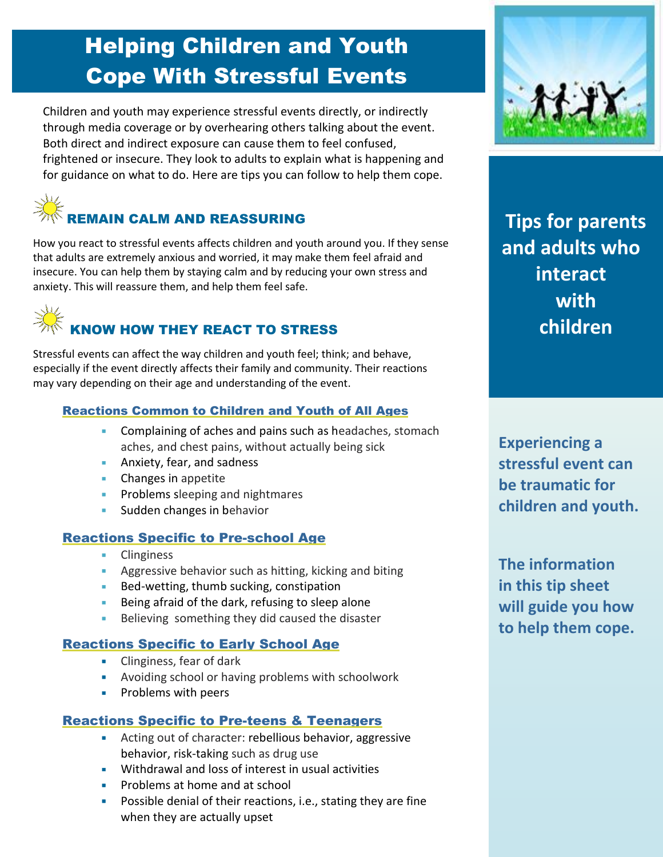### Helping Children and Youth Cope With Stressful Events

Children and youth may experience stressful events directly, or indirectly through media coverage or by overhearing others talking about the event. Both direct and indirect exposure can cause them to feel confused, frightened or insecure. They look to adults to explain what is happening and for guidance on what to do. Here are tips you can follow to help them cope.



How you react to stressful events affects children and youth around you. If they sense that adults are extremely anxious and worried, it may make them feel afraid and insecure. You can help them by staying calm and by reducing your own stress and anxiety. This will reassure them, and help them feel safe.



Stressful events can affect the way children and youth feel; think; and behave, especially if the event directly affects their family and community. Their reactions may vary depending on their age and understanding of the event.

#### Reactions Common to Children and Youth of All Ages

- Complaining of aches and pains such as headaches, stomach aches, and chest pains, without actually being sick
- **Anxiety, fear, and sadness**
- Changes in appetite
- **Problems sleeping and nightmares**
- **Sudden changes in behavior**

#### Reactions Specific to Pre-school Age

- **Clinginess**
- **Aggressive behavior such as hitting, kicking and biting**
- Bed-wetting, thumb sucking, constipation
- Being afraid of the dark, refusing to sleep alone
- Believing something they did caused the disaster

#### Reactions Specific to Early School Age

- **Clinginess, fear of dark**
- Avoiding school or having problems with schoolwork
- **Problems with peers**

#### Reactions Specific to Pre-teens & Teenagers

- Acting out of character: rebellious behavior, aggressive behavior, risk-taking such as drug use
- Withdrawal and loss of interest in usual activities
- **Problems at home and at school**
- **Possible denial of their reactions, i.e., stating they are fine** when they are actually upset



**Tips for parents and adults who interact with children** 

**Experiencing a stressful event can be traumatic for children and youth.**

**The information in this tip sheet will guide you how to help them cope.**